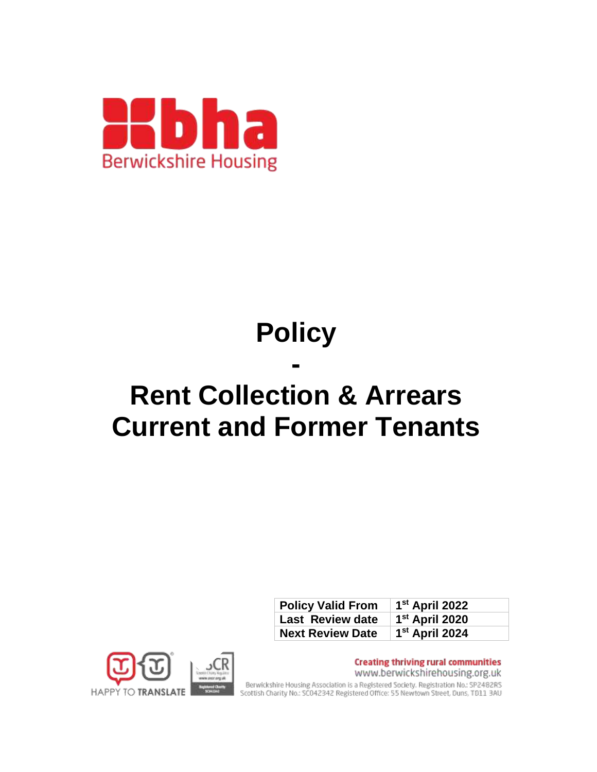

# **Policy**

# **- Rent Collection & Arrears Current and Former Tenants**

| <b>Policy Valid From</b> | 1 <sup>st</sup> April 2022 |
|--------------------------|----------------------------|
| Last Review date         | 1 <sup>st</sup> April 2020 |
| <b>Next Review Date</b>  | 1 <sup>st</sup> April 2024 |



**Creating thriving rural communities** www.berwickshirehousing.org.uk Berwickshire Housing Association is a Registered Society. Registration No.: SP2482RS<br>Scottish Charity No.: SC042342 Registered Office: 55 Newtown Street, Duns, TD11 3AU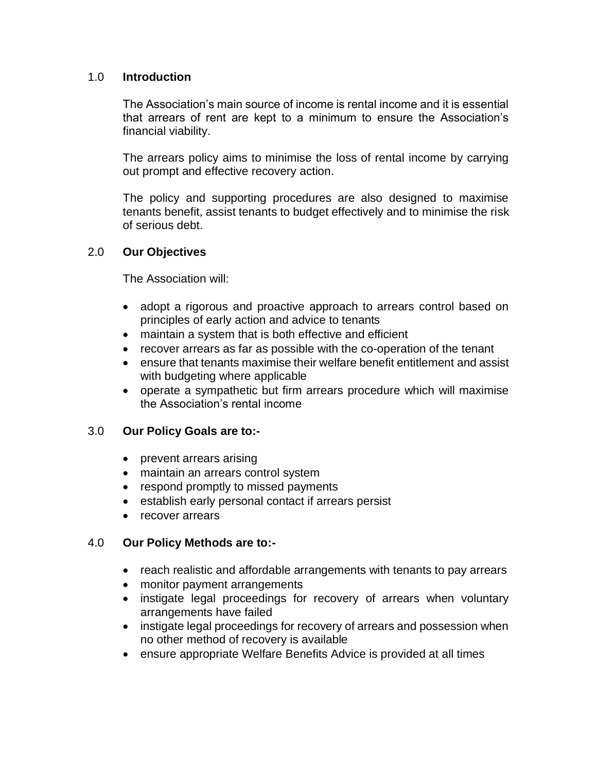# 1.0 **Introduction**

The Association's main source of income is rental income and it is essential that arrears of rent are kept to a minimum to ensure the Association's financial viability.

The arrears policy aims to minimise the loss of rental income by carrying out prompt and effective recovery action.

The policy and supporting procedures are also designed to maximise tenants benefit, assist tenants to budget effectively and to minimise the risk of serious debt.

# 2.0 **Our Objectives**

The Association will:

- adopt a rigorous and proactive approach to arrears control based on principles of early action and advice to tenants
- maintain a system that is both effective and efficient
- recover arrears as far as possible with the co-operation of the tenant
- ensure that tenants maximise their welfare benefit entitlement and assist with budgeting where applicable
- operate a sympathetic but firm arrears procedure which will maximise the Association's rental income

# 3.0 **Our Policy Goals are to:-**

- prevent arrears arising
- maintain an arrears control system
- respond promptly to missed payments
- establish early personal contact if arrears persist
- recover arrears

# 4.0 **Our Policy Methods are to:-**

- reach realistic and affordable arrangements with tenants to pay arrears
- monitor payment arrangements
- instigate legal proceedings for recovery of arrears when voluntary arrangements have failed
- instigate legal proceedings for recovery of arrears and possession when no other method of recovery is available
- ensure appropriate Welfare Benefits Advice is provided at all times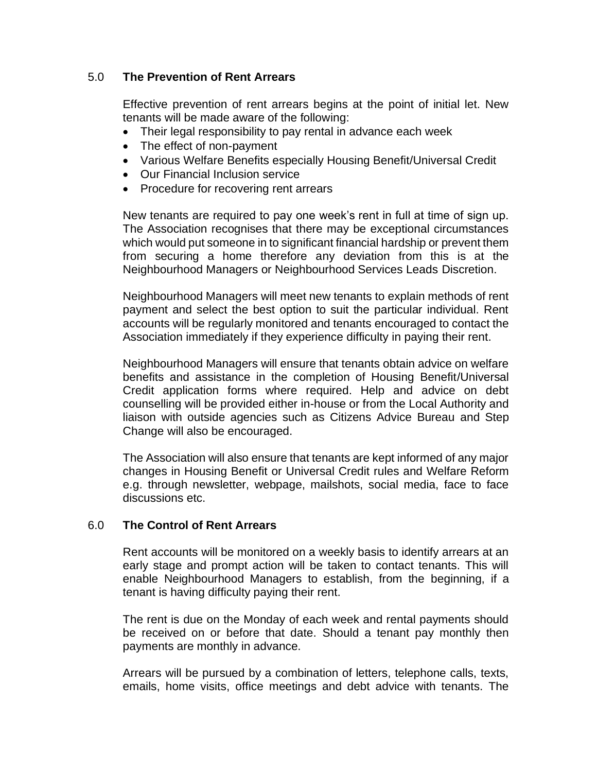# 5.0 **The Prevention of Rent Arrears**

Effective prevention of rent arrears begins at the point of initial let. New tenants will be made aware of the following:

- Their legal responsibility to pay rental in advance each week
- The effect of non-payment
- Various Welfare Benefits especially Housing Benefit/Universal Credit
- Our Financial Inclusion service
- Procedure for recovering rent arrears

New tenants are required to pay one week's rent in full at time of sign up. The Association recognises that there may be exceptional circumstances which would put someone in to significant financial hardship or prevent them from securing a home therefore any deviation from this is at the Neighbourhood Managers or Neighbourhood Services Leads Discretion.

Neighbourhood Managers will meet new tenants to explain methods of rent payment and select the best option to suit the particular individual. Rent accounts will be regularly monitored and tenants encouraged to contact the Association immediately if they experience difficulty in paying their rent.

Neighbourhood Managers will ensure that tenants obtain advice on welfare benefits and assistance in the completion of Housing Benefit/Universal Credit application forms where required. Help and advice on debt counselling will be provided either in-house or from the Local Authority and liaison with outside agencies such as Citizens Advice Bureau and Step Change will also be encouraged.

The Association will also ensure that tenants are kept informed of any major changes in Housing Benefit or Universal Credit rules and Welfare Reform e.g. through newsletter, webpage, mailshots, social media, face to face discussions etc.

# 6.0 **The Control of Rent Arrears**

Rent accounts will be monitored on a weekly basis to identify arrears at an early stage and prompt action will be taken to contact tenants. This will enable Neighbourhood Managers to establish, from the beginning, if a tenant is having difficulty paying their rent.

The rent is due on the Monday of each week and rental payments should be received on or before that date. Should a tenant pay monthly then payments are monthly in advance.

Arrears will be pursued by a combination of letters, telephone calls, texts, emails, home visits, office meetings and debt advice with tenants. The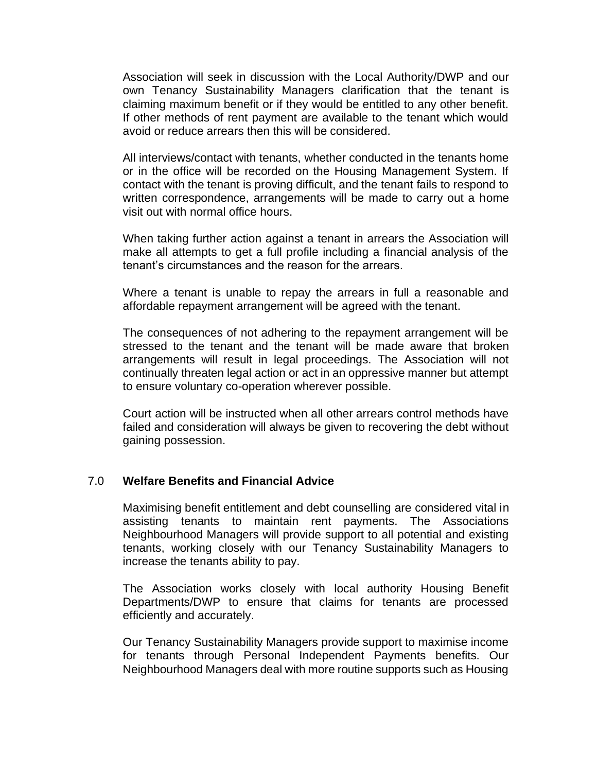Association will seek in discussion with the Local Authority/DWP and our own Tenancy Sustainability Managers clarification that the tenant is claiming maximum benefit or if they would be entitled to any other benefit. If other methods of rent payment are available to the tenant which would avoid or reduce arrears then this will be considered.

All interviews/contact with tenants, whether conducted in the tenants home or in the office will be recorded on the Housing Management System. If contact with the tenant is proving difficult, and the tenant fails to respond to written correspondence, arrangements will be made to carry out a home visit out with normal office hours.

When taking further action against a tenant in arrears the Association will make all attempts to get a full profile including a financial analysis of the tenant's circumstances and the reason for the arrears.

Where a tenant is unable to repay the arrears in full a reasonable and affordable repayment arrangement will be agreed with the tenant.

The consequences of not adhering to the repayment arrangement will be stressed to the tenant and the tenant will be made aware that broken arrangements will result in legal proceedings. The Association will not continually threaten legal action or act in an oppressive manner but attempt to ensure voluntary co-operation wherever possible.

Court action will be instructed when all other arrears control methods have failed and consideration will always be given to recovering the debt without gaining possession.

#### 7.0 **Welfare Benefits and Financial Advice**

Maximising benefit entitlement and debt counselling are considered vital in assisting tenants to maintain rent payments. The Associations Neighbourhood Managers will provide support to all potential and existing tenants, working closely with our Tenancy Sustainability Managers to increase the tenants ability to pay.

The Association works closely with local authority Housing Benefit Departments/DWP to ensure that claims for tenants are processed efficiently and accurately.

Our Tenancy Sustainability Managers provide support to maximise income for tenants through Personal Independent Payments benefits. Our Neighbourhood Managers deal with more routine supports such as Housing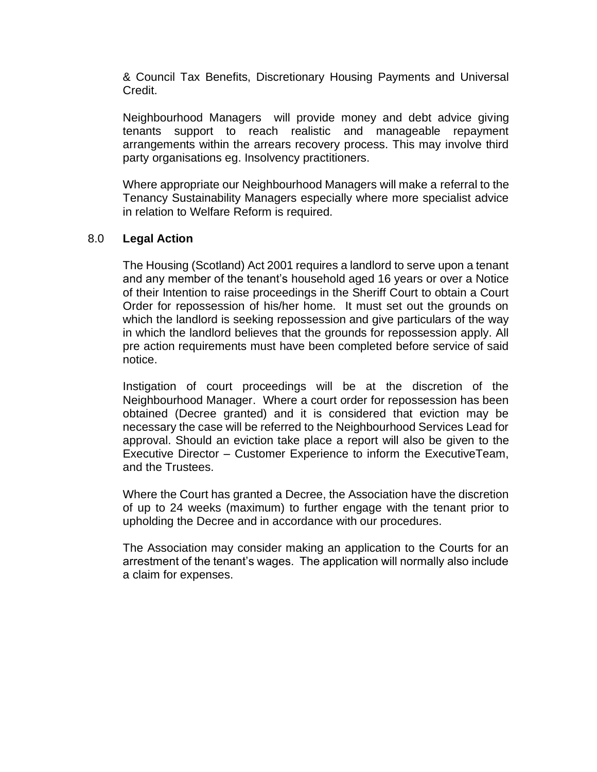& Council Tax Benefits, Discretionary Housing Payments and Universal Credit.

Neighbourhood Managers will provide money and debt advice giving tenants support to reach realistic and manageable repayment arrangements within the arrears recovery process. This may involve third party organisations eg. Insolvency practitioners.

Where appropriate our Neighbourhood Managers will make a referral to the Tenancy Sustainability Managers especially where more specialist advice in relation to Welfare Reform is required.

### 8.0 **Legal Action**

The Housing (Scotland) Act 2001 requires a landlord to serve upon a tenant and any member of the tenant's household aged 16 years or over a Notice of their Intention to raise proceedings in the Sheriff Court to obtain a Court Order for repossession of his/her home. It must set out the grounds on which the landlord is seeking repossession and give particulars of the way in which the landlord believes that the grounds for repossession apply. All pre action requirements must have been completed before service of said notice.

Instigation of court proceedings will be at the discretion of the Neighbourhood Manager. Where a court order for repossession has been obtained (Decree granted) and it is considered that eviction may be necessary the case will be referred to the Neighbourhood Services Lead for approval. Should an eviction take place a report will also be given to the Executive Director – Customer Experience to inform the ExecutiveTeam, and the Trustees.

Where the Court has granted a Decree, the Association have the discretion of up to 24 weeks (maximum) to further engage with the tenant prior to upholding the Decree and in accordance with our procedures.

The Association may consider making an application to the Courts for an arrestment of the tenant's wages. The application will normally also include a claim for expenses.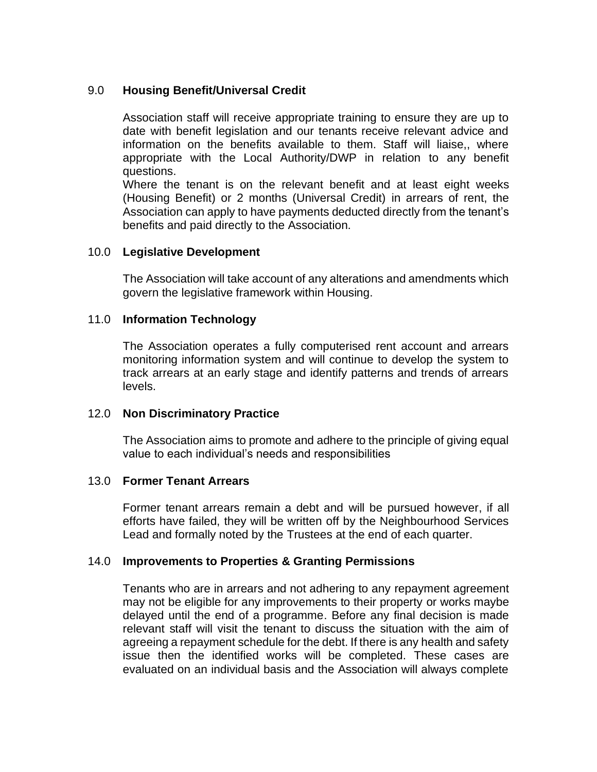# 9.0 **Housing Benefit/Universal Credit**

Association staff will receive appropriate training to ensure they are up to date with benefit legislation and our tenants receive relevant advice and information on the benefits available to them. Staff will liaise,, where appropriate with the Local Authority/DWP in relation to any benefit questions.

Where the tenant is on the relevant benefit and at least eight weeks (Housing Benefit) or 2 months (Universal Credit) in arrears of rent, the Association can apply to have payments deducted directly from the tenant's benefits and paid directly to the Association.

### 10.0 **Legislative Development**

The Association will take account of any alterations and amendments which govern the legislative framework within Housing.

### 11.0 **Information Technology**

The Association operates a fully computerised rent account and arrears monitoring information system and will continue to develop the system to track arrears at an early stage and identify patterns and trends of arrears levels.

#### 12.0 **Non Discriminatory Practice**

The Association aims to promote and adhere to the principle of giving equal value to each individual's needs and responsibilities

#### 13.0 **Former Tenant Arrears**

Former tenant arrears remain a debt and will be pursued however, if all efforts have failed, they will be written off by the Neighbourhood Services Lead and formally noted by the Trustees at the end of each quarter.

# 14.0 **Improvements to Properties & Granting Permissions**

Tenants who are in arrears and not adhering to any repayment agreement may not be eligible for any improvements to their property or works maybe delayed until the end of a programme. Before any final decision is made relevant staff will visit the tenant to discuss the situation with the aim of agreeing a repayment schedule for the debt. If there is any health and safety issue then the identified works will be completed. These cases are evaluated on an individual basis and the Association will always complete